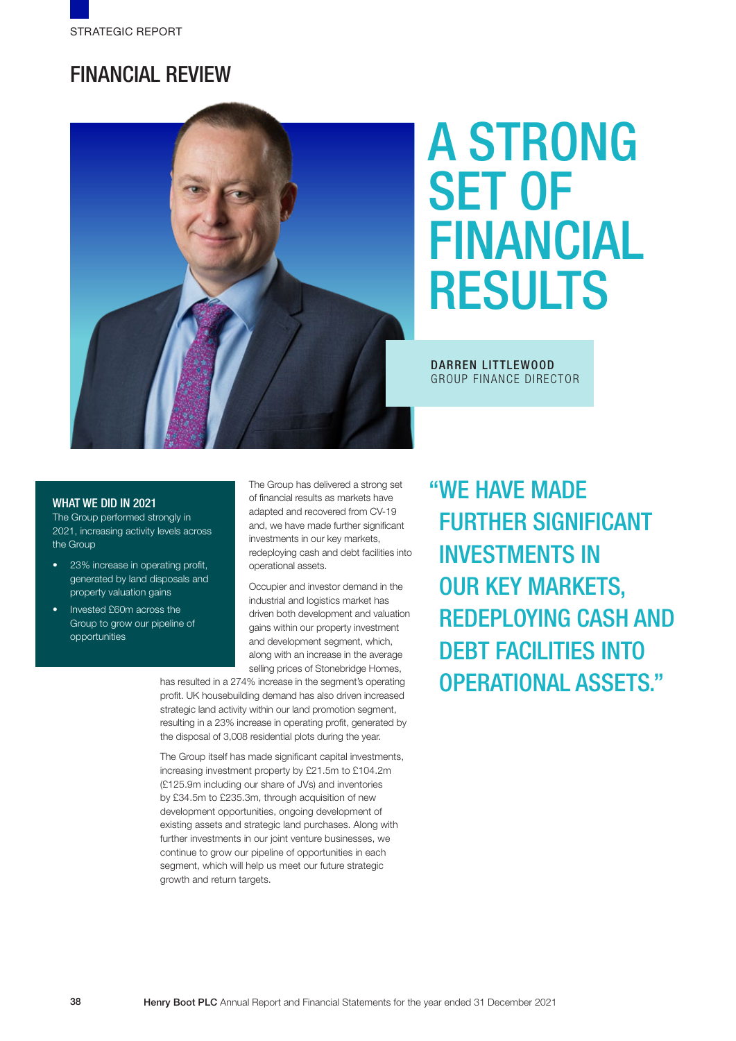# FINANCIAL REVIEW



# A STRONG SET OF FINANCIAL RESULTS

## DARREN LITTLEWOOD GROUP FINANCE DIRECTOR

#### WHAT WE DID IN 2021

The Group performed strongly in 2021, increasing activity levels across the Group

- 23% increase in operating profit, generated by land disposals and property valuation gains
- Invested £60m across the Group to grow our pipeline of opportunities

The Group has delivered a strong set of financial results as markets have adapted and recovered from CV-19 and, we have made further significant investments in our key markets, redeploying cash and debt facilities into operational assets.

Occupier and investor demand in the industrial and logistics market has driven both development and valuation gains within our property investment and development segment, which, along with an increase in the average selling prices of Stonebridge Homes,

has resulted in a 274% increase in the segment's operating profit. UK housebuilding demand has also driven increased strategic land activity within our land promotion segment, resulting in a 23% increase in operating profit, generated by the disposal of 3,008 residential plots during the year.

The Group itself has made significant capital investments, increasing investment property by £21.5m to £104.2m (£125.9m including our share of JVs) and inventories by £34.5m to £235.3m, through acquisition of new development opportunities, ongoing development of existing assets and strategic land purchases. Along with further investments in our joint venture businesses, we continue to grow our pipeline of opportunities in each segment, which will help us meet our future strategic growth and return targets.

"WE HAVE MADE FURTHER SIGNIFICANT INVESTMENTS IN OUR KEY MARKETS, REDEPLOYING CASH AND DEBT FACILITIES INTO OPERATIONAL ASSETS."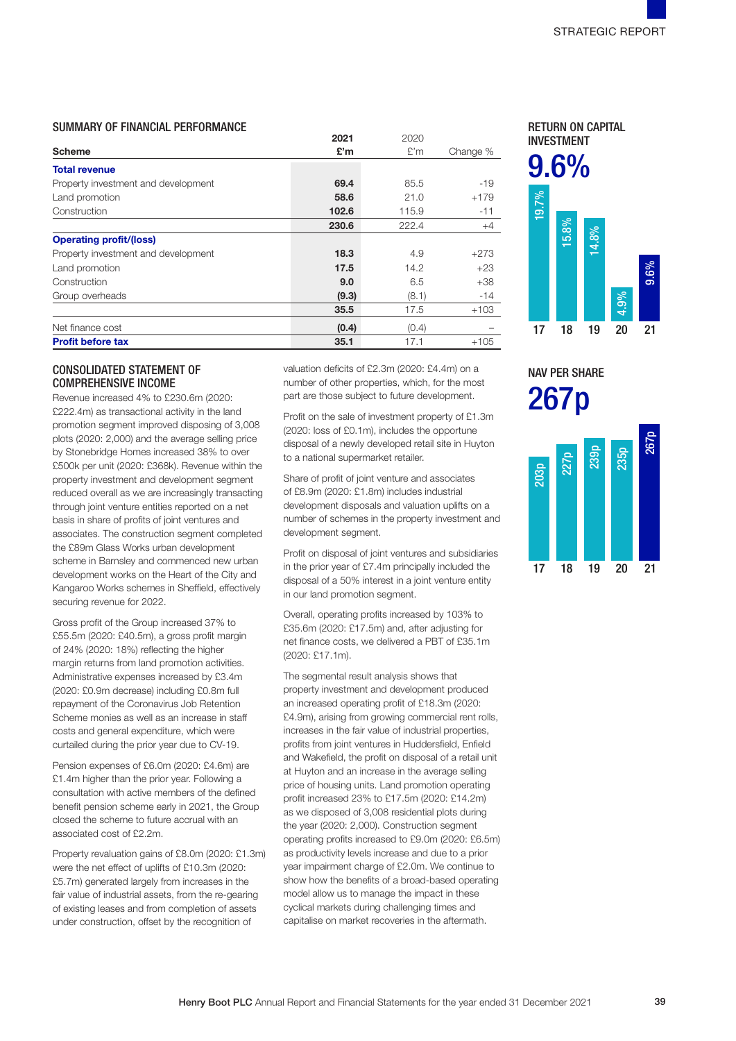#### SUMMARY OF FINANCIAL PERFORMANCE

|                                     | 2021  | 2020  |          |
|-------------------------------------|-------|-------|----------|
| <b>Scheme</b>                       | £'m   | E'm   | Change % |
| <b>Total revenue</b>                |       |       |          |
| Property investment and development | 69.4  | 85.5  | $-19$    |
| Land promotion                      | 58.6  | 21.0  | $+179$   |
| Construction                        | 102.6 | 115.9 | $-11$    |
|                                     | 230.6 | 222.4 | $+4$     |
| <b>Operating profit/(loss)</b>      |       |       |          |
| Property investment and development | 18.3  | 4.9   | $+273$   |
| Land promotion                      | 17.5  | 14.2  | $+23$    |
| Construction                        | 9.0   | 6.5   | $+38$    |
| Group overheads                     | (9.3) | (8.1) | $-14$    |
|                                     | 35.5  | 17.5  | $+103$   |
| Net finance cost                    | (0.4) | (0.4) |          |
| <b>Profit before tax</b>            | 35.1  | 17.1  | $+105$   |

# CONSOLIDATED STATEMENT OF COMPREHENSIVE INCOME

Revenue increased 4% to £230.6m (2020: £222.4m) as transactional activity in the land promotion segment improved disposing of 3,008 plots (2020: 2,000) and the average selling price by Stonebridge Homes increased 38% to over £500k per unit (2020: £368k). Revenue within the property investment and development segment reduced overall as we are increasingly transacting through joint venture entities reported on a net basis in share of profits of joint ventures and associates. The construction segment completed the £89m Glass Works urban development scheme in Barnsley and commenced new urban development works on the Heart of the City and Kangaroo Works schemes in Sheffield, effectively securing revenue for 2022.

Gross profit of the Group increased 37% to £55.5m (2020: £40.5m), a gross profit margin of 24% (2020: 18%) reflecting the higher margin returns from land promotion activities. Administrative expenses increased by £3.4m (2020: £0.9m decrease) including £0.8m full repayment of the Coronavirus Job Retention Scheme monies as well as an increase in staff costs and general expenditure, which were curtailed during the prior year due to CV-19.

Pension expenses of £6.0m (2020: £4.6m) are £1.4m higher than the prior year. Following a consultation with active members of the defined benefit pension scheme early in 2021, the Group closed the scheme to future accrual with an associated cost of £2.2m.

Property revaluation gains of £8.0m (2020: £1.3m) were the net effect of uplifts of £10.3m (2020: £5.7m) generated largely from increases in the fair value of industrial assets, from the re-gearing of existing leases and from completion of assets under construction, offset by the recognition of

valuation deficits of £2.3m (2020: £4.4m) on a number of other properties, which, for the most part are those subject to future development.

Profit on the sale of investment property of £1.3m (2020: loss of £0.1m), includes the opportune disposal of a newly developed retail site in Huyton to a national supermarket retailer.

Share of profit of joint venture and associates of £8.9m (2020: £1.8m) includes industrial development disposals and valuation uplifts on a number of schemes in the property investment and development segment.

Profit on disposal of joint ventures and subsidiaries in the prior year of £7.4m principally included the disposal of a 50% interest in a joint venture entity in our land promotion segment.

Overall, operating profits increased by 103% to £35.6m (2020: £17.5m) and, after adjusting for net finance costs, we delivered a PBT of £35.1m (2020: £17.1m).

The segmental result analysis shows that property investment and development produced an increased operating profit of £18.3m (2020: £4.9m), arising from growing commercial rent rolls, increases in the fair value of industrial properties, profits from joint ventures in Huddersfield, Enfield and Wakefield, the profit on disposal of a retail unit at Huyton and an increase in the average selling price of housing units. Land promotion operating profit increased 23% to £17.5m (2020: £14.2m) as we disposed of 3,008 residential plots during the year (2020: 2,000). Construction segment operating profits increased to £9.0m (2020: £6.5m) as productivity levels increase and due to a prior year impairment charge of £2.0m. We continue to show how the benefits of a broad-based operating model allow us to manage the impact in these cyclical markets during challenging times and capitalise on market recoveries in the aftermath.

RETURN ON CAPITAL INVESTMENT



NAV PER SHARE 267p

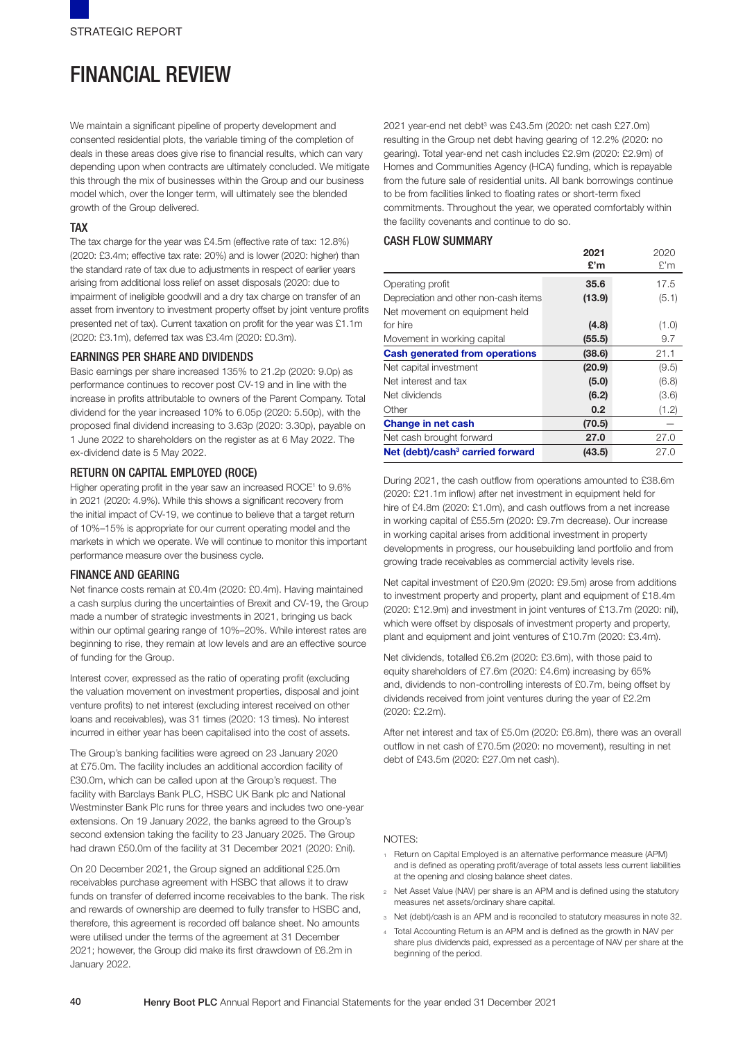# FINANCIAL REVIEW

We maintain a significant pipeline of property development and consented residential plots, the variable timing of the completion of deals in these areas does give rise to financial results, which can vary depending upon when contracts are ultimately concluded. We mitigate this through the mix of businesses within the Group and our business model which, over the longer term, will ultimately see the blended growth of the Group delivered.

# TAX

The tax charge for the year was £4.5m (effective rate of tax: 12.8%) (2020: £3.4m; effective tax rate: 20%) and is lower (2020: higher) than the standard rate of tax due to adjustments in respect of earlier years arising from additional loss relief on asset disposals (2020: due to impairment of ineligible goodwill and a dry tax charge on transfer of an asset from inventory to investment property offset by joint venture profits presented net of tax). Current taxation on profit for the year was £1.1m (2020: £3.1m), deferred tax was £3.4m (2020: £0.3m).

# EARNINGS PER SHARE AND DIVIDENDS

Basic earnings per share increased 135% to 21.2p (2020: 9.0p) as performance continues to recover post CV-19 and in line with the increase in profits attributable to owners of the Parent Company. Total dividend for the year increased 10% to 6.05p (2020: 5.50p), with the proposed final dividend increasing to 3.63p (2020: 3.30p), payable on 1 June 2022 to shareholders on the register as at 6 May 2022. The ex-dividend date is 5 May 2022.

## RETURN ON CAPITAL EMPLOYED (ROCE)

Higher operating profit in the year saw an increased ROCE1 to 9.6% in 2021 (2020: 4.9%). While this shows a significant recovery from the initial impact of CV-19, we continue to believe that a target return of 10%–15% is appropriate for our current operating model and the markets in which we operate. We will continue to monitor this important performance measure over the business cycle.

## FINANCE AND GEARING

Net finance costs remain at £0.4m (2020: £0.4m). Having maintained a cash surplus during the uncertainties of Brexit and CV-19, the Group made a number of strategic investments in 2021, bringing us back within our optimal gearing range of 10%–20%. While interest rates are beginning to rise, they remain at low levels and are an effective source of funding for the Group.

Interest cover, expressed as the ratio of operating profit (excluding the valuation movement on investment properties, disposal and joint venture profits) to net interest (excluding interest received on other loans and receivables), was 31 times (2020: 13 times). No interest incurred in either year has been capitalised into the cost of assets.

The Group's banking facilities were agreed on 23 January 2020 at £75.0m. The facility includes an additional accordion facility of £30.0m, which can be called upon at the Group's request. The facility with Barclays Bank PLC, HSBC UK Bank plc and National Westminster Bank Plc runs for three years and includes two one-year extensions. On 19 January 2022, the banks agreed to the Group's second extension taking the facility to 23 January 2025. The Group had drawn £50.0m of the facility at 31 December 2021 (2020: £nil).

On 20 December 2021, the Group signed an additional £25.0m receivables purchase agreement with HSBC that allows it to draw funds on transfer of deferred income receivables to the bank. The risk and rewards of ownership are deemed to fully transfer to HSBC and, therefore, this agreement is recorded off balance sheet. No amounts were utilised under the terms of the agreement at 31 December 2021; however, the Group did make its first drawdown of £6.2m in January 2022.

2021 year-end net debt<sup>3</sup> was £43.5m (2020: net cash £27.0m) resulting in the Group net debt having gearing of 12.2% (2020: no gearing). Total year-end net cash includes £2.9m (2020: £2.9m) of Homes and Communities Agency (HCA) funding, which is repayable from the future sale of residential units. All bank borrowings continue to be from facilities linked to floating rates or short-term fixed commitments. Throughout the year, we operated comfortably within the facility covenants and continue to do so.

## CASH FLOW SUMMARY

|                                              | 2021   | 2020  |
|----------------------------------------------|--------|-------|
|                                              | £'m    | £'m   |
| Operating profit                             | 35.6   | 17.5  |
| Depreciation and other non-cash items        | (13.9) | (5.1) |
| Net movement on equipment held               |        |       |
| for hire                                     | (4.8)  | (1.0) |
| Movement in working capital                  | (55.5) | 9.7   |
| <b>Cash generated from operations</b>        | (38.6) | 21.1  |
| Net capital investment                       | (20.9) | (9.5) |
| Net interest and tax                         | (5.0)  | (6.8) |
| Net dividends                                | (6.2)  | (3.6) |
| Other                                        | 0.2    | (1.2) |
| <b>Change in net cash</b>                    | (70.5) |       |
| Net cash brought forward                     | 27.0   | 27.0  |
| Net (debt)/cash <sup>3</sup> carried forward | (43.5) | 27.0  |

During 2021, the cash outflow from operations amounted to £38.6m (2020: £21.1m inflow) after net investment in equipment held for hire of £4.8m (2020: £1.0m), and cash outflows from a net increase in working capital of £55.5m (2020: £9.7m decrease). Our increase in working capital arises from additional investment in property developments in progress, our housebuilding land portfolio and from growing trade receivables as commercial activity levels rise.

Net capital investment of £20.9m (2020: £9.5m) arose from additions to investment property and property, plant and equipment of £18.4m (2020: £12.9m) and investment in joint ventures of £13.7m (2020: nil), which were offset by disposals of investment property and property, plant and equipment and joint ventures of £10.7m (2020: £3.4m).

Net dividends, totalled £6.2m (2020: £3.6m), with those paid to equity shareholders of £7.6m (2020: £4.6m) increasing by 65% and, dividends to non-controlling interests of £0.7m, being offset by dividends received from joint ventures during the year of £2.2m (2020: £2.2m).

After net interest and tax of £5.0m (2020: £6.8m), there was an overall outflow in net cash of £70.5m (2020: no movement), resulting in net debt of £43.5m (2020: £27.0m net cash).

#### NOTES:

- <sup>1</sup> Return on Capital Employed is an alternative performance measure (APM) and is defined as operating profit/average of total assets less current liabilities at the opening and closing balance sheet dates.
- <sup>2</sup> Net Asset Value (NAV) per share is an APM and is defined using the statutory measures net assets/ordinary share capital.
- <sup>3</sup> Net (debt)/cash is an APM and is reconciled to statutory measures in note 32.
- <sup>4</sup> Total Accounting Return is an APM and is defined as the growth in NAV per share plus dividends paid, expressed as a percentage of NAV per share at the beginning of the period.